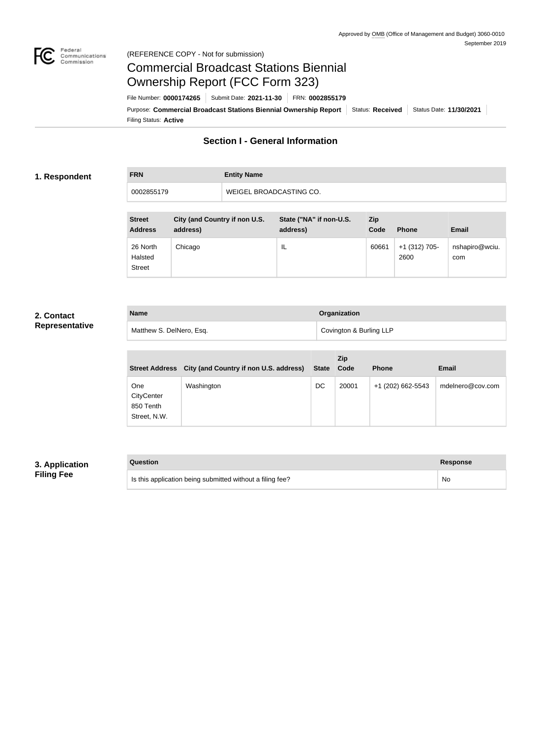

### Federal<br>Communications<br>Commission (REFERENCE COPY - Not for submission)

# Commercial Broadcast Stations Biennial Ownership Report (FCC Form 323)

Filing Status: **Active** Purpose: Commercial Broadcast Stations Biennial Ownership Report Status: Received Status Date: 11/30/2021 File Number: **0000174265** Submit Date: **2021-11-30** FRN: **0002855179**

## **Section I - General Information**

### **1. Respondent**

**FRN Entity Name** 0002855179 WEIGEL BROADCASTING CO.

| <b>Street</b><br><b>Address</b>      | City (and Country if non U.S.<br>address) | State ("NA" if non-U.S.<br>address) | <b>Zip</b><br>Code | <b>Phone</b>            | <b>Email</b>          |
|--------------------------------------|-------------------------------------------|-------------------------------------|--------------------|-------------------------|-----------------------|
| 26 North<br>Halsted<br><b>Street</b> | Chicago                                   | IL                                  | 60661              | $+1$ (312) 705-<br>2600 | nshapiro@wciu.<br>com |

## **2. Contact Representative**

| <b>Name</b>              | Organization            |
|--------------------------|-------------------------|
| Matthew S. DelNero, Esq. | Covington & Burling LLP |

| <b>Street Address</b>                          | City (and Country if non U.S. address) | <b>State</b> | <b>Zip</b><br>Code | <b>Phone</b>      | <b>Email</b>     |
|------------------------------------------------|----------------------------------------|--------------|--------------------|-------------------|------------------|
| One<br>CityCenter<br>850 Tenth<br>Street, N.W. | Washington                             | DC           | 20001              | +1 (202) 662-5543 | mdelnero@cov.com |

## **3. Application Filing Fee**

| Question                                                  | Response  |
|-----------------------------------------------------------|-----------|
| Is this application being submitted without a filing fee? | <b>No</b> |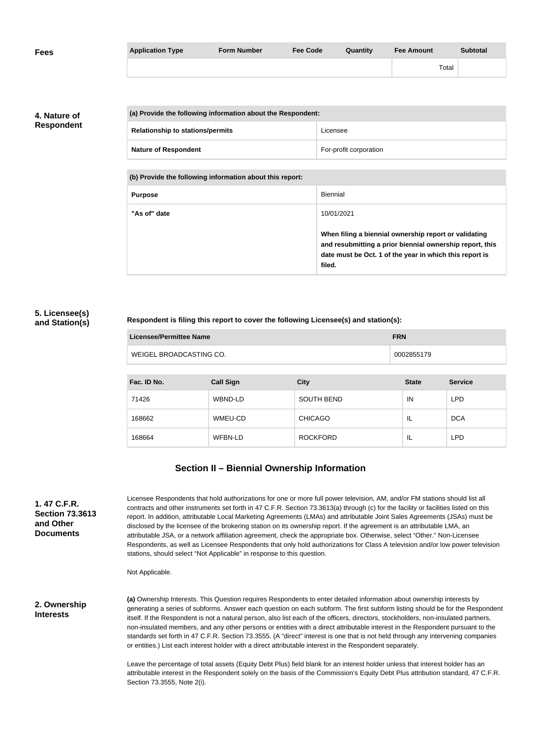| <b>Fees</b> | <b>Application Type</b> | <b>Form Number</b> | <b>Fee Code</b> | Quantity | <b>Fee Amount</b> | <b>Subtotal</b> |
|-------------|-------------------------|--------------------|-----------------|----------|-------------------|-----------------|
|             |                         |                    |                 |          | Total             |                 |

**4. Nature of Respondent**

|  | (a) Provide the following information about the Respondent: |                        |  |
|--|-------------------------------------------------------------|------------------------|--|
|  | <b>Relationship to stations/permits</b>                     | Licensee               |  |
|  | <b>Nature of Respondent</b>                                 | For-profit corporation |  |

**(b) Provide the following information about this report:**

| <b>Purpose</b> | <b>Biennial</b>                                                                                                                                                                        |
|----------------|----------------------------------------------------------------------------------------------------------------------------------------------------------------------------------------|
| "As of" date   | 10/01/2021                                                                                                                                                                             |
|                | When filing a biennial ownership report or validating<br>and resubmitting a prior biennial ownership report, this<br>date must be Oct. 1 of the year in which this report is<br>filed. |

#### **5. Licensee(s) and Station(s)**

#### **Respondent is filing this report to cover the following Licensee(s) and station(s):**

| Licensee/Permittee Name | <b>FRN</b> |
|-------------------------|------------|
| WEIGEL BROADCASTING CO. | 0002855179 |

| Fac. ID No. | <b>Call Sign</b> | <b>City</b>       | <b>State</b> | <b>Service</b> |
|-------------|------------------|-------------------|--------------|----------------|
| 71426       | WBND-LD          | <b>SOUTH BEND</b> | IN           | <b>LPD</b>     |
| 168662      | WMEU-CD          | <b>CHICAGO</b>    | IL           | <b>DCA</b>     |
| 168664      | WFBN-LD          | <b>ROCKFORD</b>   | IL           | <b>LPD</b>     |

## **Section II – Biennial Ownership Information**

**1. 47 C.F.R. Section 73.3613 and Other Documents**

Licensee Respondents that hold authorizations for one or more full power television, AM, and/or FM stations should list all contracts and other instruments set forth in 47 C.F.R. Section 73.3613(a) through (c) for the facility or facilities listed on this report. In addition, attributable Local Marketing Agreements (LMAs) and attributable Joint Sales Agreements (JSAs) must be disclosed by the licensee of the brokering station on its ownership report. If the agreement is an attributable LMA, an attributable JSA, or a network affiliation agreement, check the appropriate box. Otherwise, select "Other." Non-Licensee Respondents, as well as Licensee Respondents that only hold authorizations for Class A television and/or low power television stations, should select "Not Applicable" in response to this question.

Not Applicable.

**2. Ownership Interests**

**(a)** Ownership Interests. This Question requires Respondents to enter detailed information about ownership interests by generating a series of subforms. Answer each question on each subform. The first subform listing should be for the Respondent itself. If the Respondent is not a natural person, also list each of the officers, directors, stockholders, non-insulated partners, non-insulated members, and any other persons or entities with a direct attributable interest in the Respondent pursuant to the standards set forth in 47 C.F.R. Section 73.3555. (A "direct" interest is one that is not held through any intervening companies or entities.) List each interest holder with a direct attributable interest in the Respondent separately.

Leave the percentage of total assets (Equity Debt Plus) field blank for an interest holder unless that interest holder has an attributable interest in the Respondent solely on the basis of the Commission's Equity Debt Plus attribution standard, 47 C.F.R. Section 73.3555, Note 2(i).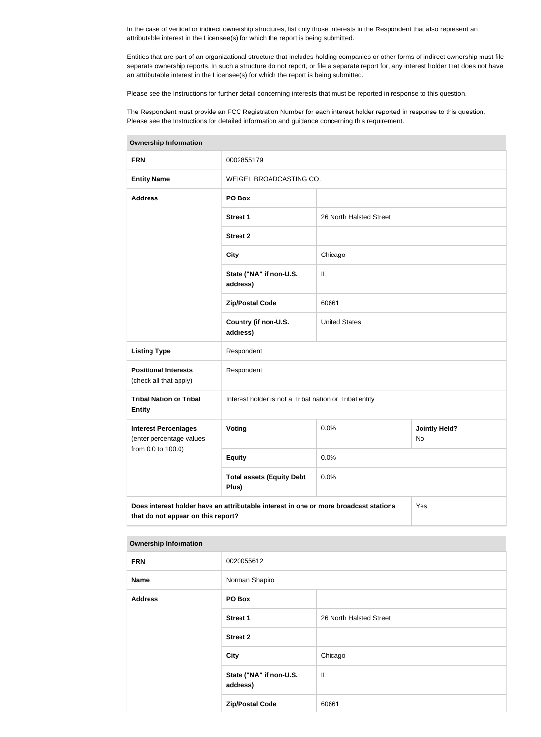In the case of vertical or indirect ownership structures, list only those interests in the Respondent that also represent an attributable interest in the Licensee(s) for which the report is being submitted.

Entities that are part of an organizational structure that includes holding companies or other forms of indirect ownership must file separate ownership reports. In such a structure do not report, or file a separate report for, any interest holder that does not have an attributable interest in the Licensee(s) for which the report is being submitted.

Please see the Instructions for further detail concerning interests that must be reported in response to this question.

The Respondent must provide an FCC Registration Number for each interest holder reported in response to this question. Please see the Instructions for detailed information and guidance concerning this requirement.

| <b>FRN</b>                                                                                                                        | 0002855179                                              |                         |                            |  |  |
|-----------------------------------------------------------------------------------------------------------------------------------|---------------------------------------------------------|-------------------------|----------------------------|--|--|
| <b>Entity Name</b>                                                                                                                | WEIGEL BROADCASTING CO.                                 |                         |                            |  |  |
| <b>Address</b>                                                                                                                    | PO Box                                                  |                         |                            |  |  |
|                                                                                                                                   | <b>Street 1</b>                                         | 26 North Halsted Street |                            |  |  |
|                                                                                                                                   | <b>Street 2</b>                                         |                         |                            |  |  |
|                                                                                                                                   | <b>City</b>                                             | Chicago                 |                            |  |  |
|                                                                                                                                   | State ("NA" if non-U.S.<br>address)                     | IL                      |                            |  |  |
|                                                                                                                                   | <b>Zip/Postal Code</b>                                  | 60661                   |                            |  |  |
|                                                                                                                                   | Country (if non-U.S.<br>address)                        | <b>United States</b>    |                            |  |  |
| <b>Listing Type</b>                                                                                                               | Respondent                                              |                         |                            |  |  |
| <b>Positional Interests</b><br>(check all that apply)                                                                             | Respondent                                              |                         |                            |  |  |
| <b>Tribal Nation or Tribal</b><br><b>Entity</b>                                                                                   | Interest holder is not a Tribal nation or Tribal entity |                         |                            |  |  |
| <b>Interest Percentages</b><br>(enter percentage values                                                                           | <b>Voting</b>                                           | 0.0%                    | <b>Jointly Held?</b><br>No |  |  |
| from 0.0 to 100.0)                                                                                                                | <b>Equity</b>                                           | 0.0%                    |                            |  |  |
|                                                                                                                                   | <b>Total assets (Equity Debt</b><br>Plus)               | 0.0%                    |                            |  |  |
| Does interest holder have an attributable interest in one or more broadcast stations<br>Yes<br>that do not appear on this report? |                                                         |                         |                            |  |  |

# **Ownership Information**

| <b>Ownership Information</b> |                                     |                         |  |  |
|------------------------------|-------------------------------------|-------------------------|--|--|
| <b>FRN</b>                   | 0020055612                          |                         |  |  |
| <b>Name</b>                  | Norman Shapiro                      |                         |  |  |
| <b>Address</b>               | PO Box                              |                         |  |  |
|                              | <b>Street 1</b>                     | 26 North Halsted Street |  |  |
|                              | <b>Street 2</b>                     |                         |  |  |
|                              | <b>City</b>                         | Chicago                 |  |  |
|                              | State ("NA" if non-U.S.<br>address) | IL                      |  |  |
|                              | <b>Zip/Postal Code</b>              | 60661                   |  |  |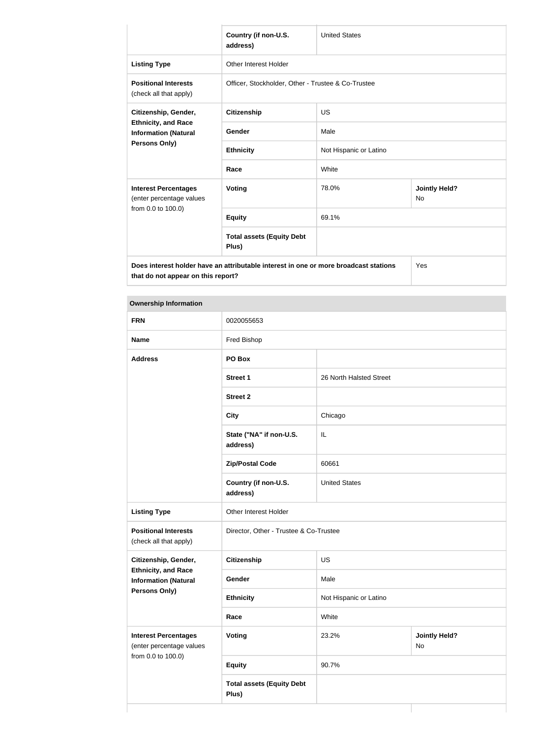|                                                                                                                                   | Country (if non-U.S.<br>address)                   | <b>United States</b>   |                            |  |
|-----------------------------------------------------------------------------------------------------------------------------------|----------------------------------------------------|------------------------|----------------------------|--|
| <b>Listing Type</b>                                                                                                               | <b>Other Interest Holder</b>                       |                        |                            |  |
| <b>Positional Interests</b><br>(check all that apply)                                                                             | Officer, Stockholder, Other - Trustee & Co-Trustee |                        |                            |  |
| Citizenship, Gender,                                                                                                              | <b>Citizenship</b>                                 | <b>US</b>              |                            |  |
| <b>Ethnicity, and Race</b><br><b>Information (Natural</b>                                                                         | Gender                                             | Male                   |                            |  |
| <b>Persons Only)</b>                                                                                                              | <b>Ethnicity</b>                                   | Not Hispanic or Latino |                            |  |
|                                                                                                                                   | Race                                               | White                  |                            |  |
| <b>Interest Percentages</b><br>(enter percentage values                                                                           | <b>Voting</b>                                      | 78.0%                  | <b>Jointly Held?</b><br>No |  |
| from 0.0 to 100.0)                                                                                                                | <b>Equity</b>                                      | 69.1%                  |                            |  |
|                                                                                                                                   | <b>Total assets (Equity Debt</b><br>Plus)          |                        |                            |  |
| Does interest holder have an attributable interest in one or more broadcast stations<br>Yes<br>that do not appear on this report? |                                                    |                        |                            |  |

#### **Ownership Information**

| <b>FRN</b>                                                                                                | 0020055653                                |                         |                            |
|-----------------------------------------------------------------------------------------------------------|-------------------------------------------|-------------------------|----------------------------|
| <b>Name</b>                                                                                               | Fred Bishop                               |                         |                            |
| <b>Address</b>                                                                                            | PO Box                                    |                         |                            |
|                                                                                                           | <b>Street 1</b>                           | 26 North Halsted Street |                            |
|                                                                                                           | <b>Street 2</b>                           |                         |                            |
|                                                                                                           | <b>City</b>                               | Chicago                 |                            |
|                                                                                                           | State ("NA" if non-U.S.<br>address)       | $\mathsf{IL}$           |                            |
|                                                                                                           | <b>Zip/Postal Code</b>                    | 60661                   |                            |
|                                                                                                           | Country (if non-U.S.<br>address)          | <b>United States</b>    |                            |
| <b>Listing Type</b>                                                                                       | Other Interest Holder                     |                         |                            |
| <b>Positional Interests</b><br>(check all that apply)                                                     | Director, Other - Trustee & Co-Trustee    |                         |                            |
| Citizenship, Gender,<br><b>Ethnicity, and Race</b><br><b>Information (Natural</b><br><b>Persons Only)</b> | Citizenship                               | US                      |                            |
|                                                                                                           | Gender                                    | Male                    |                            |
|                                                                                                           | <b>Ethnicity</b>                          | Not Hispanic or Latino  |                            |
|                                                                                                           | Race                                      | White                   |                            |
| <b>Interest Percentages</b><br>(enter percentage values<br>from 0.0 to 100.0)                             | <b>Voting</b>                             | 23.2%                   | <b>Jointly Held?</b><br>No |
|                                                                                                           | <b>Equity</b>                             | 90.7%                   |                            |
|                                                                                                           | <b>Total assets (Equity Debt</b><br>Plus) |                         |                            |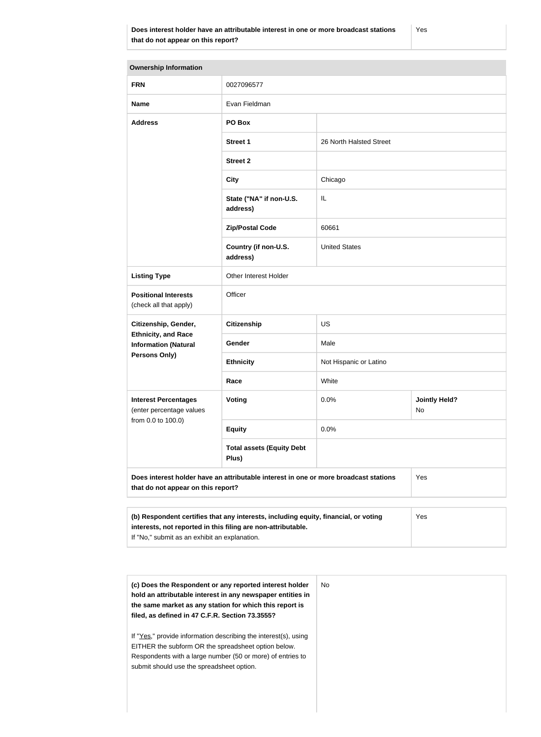### **Does interest holder have an attributable interest in one or more broadcast stations that do not appear on this report?**

Yes

| <b>Ownership Information</b>                                                                                                                               |                                           |                         |                            |
|------------------------------------------------------------------------------------------------------------------------------------------------------------|-------------------------------------------|-------------------------|----------------------------|
| <b>FRN</b>                                                                                                                                                 | 0027096577                                |                         |                            |
| <b>Name</b>                                                                                                                                                | Evan Fieldman                             |                         |                            |
| <b>Address</b>                                                                                                                                             | PO Box                                    |                         |                            |
|                                                                                                                                                            | <b>Street 1</b>                           | 26 North Halsted Street |                            |
|                                                                                                                                                            | <b>Street 2</b>                           |                         |                            |
|                                                                                                                                                            | <b>City</b>                               | Chicago                 |                            |
|                                                                                                                                                            | State ("NA" if non-U.S.<br>address)       | IL                      |                            |
|                                                                                                                                                            | <b>Zip/Postal Code</b>                    | 60661                   |                            |
|                                                                                                                                                            | Country (if non-U.S.<br>address)          | <b>United States</b>    |                            |
| <b>Listing Type</b>                                                                                                                                        | Other Interest Holder                     |                         |                            |
| <b>Positional Interests</b><br>(check all that apply)                                                                                                      | Officer                                   |                         |                            |
| Citizenship, Gender,                                                                                                                                       | <b>Citizenship</b>                        | <b>US</b>               |                            |
| <b>Ethnicity, and Race</b><br><b>Information (Natural</b>                                                                                                  | <b>Gender</b>                             | Male                    |                            |
| <b>Persons Only)</b>                                                                                                                                       | <b>Ethnicity</b>                          | Not Hispanic or Latino  |                            |
|                                                                                                                                                            | Race                                      | White                   |                            |
| <b>Interest Percentages</b><br>(enter percentage values<br>from 0.0 to 100.0)                                                                              | Voting                                    | 0.0%                    | <b>Jointly Held?</b><br>No |
|                                                                                                                                                            | <b>Equity</b>                             | 0.0%                    |                            |
|                                                                                                                                                            | <b>Total assets (Equity Debt</b><br>Plus) |                         |                            |
| Does interest holder have an attributable interest in one or more broadcast stations<br>Yes<br>that do not appear on this report?                          |                                           |                         |                            |
|                                                                                                                                                            |                                           |                         |                            |
| (b) Respondent certifies that any interests, including equity, financial, or voting<br>Yes<br>interests, not reported in this filing are non-attributable. |                                           |                         |                            |

If "No," submit as an exhibit an explanation.

| (c) Does the Respondent or any reported interest holder<br>hold an attributable interest in any newspaper entities in<br>the same market as any station for which this report is<br>filed, as defined in 47 C.F.R. Section 73.3555? | No. |
|-------------------------------------------------------------------------------------------------------------------------------------------------------------------------------------------------------------------------------------|-----|
| If "Yes," provide information describing the interest(s), using<br>EITHER the subform OR the spreadsheet option below.<br>Respondents with a large number (50 or more) of entries to<br>submit should use the spreadsheet option.   |     |
|                                                                                                                                                                                                                                     |     |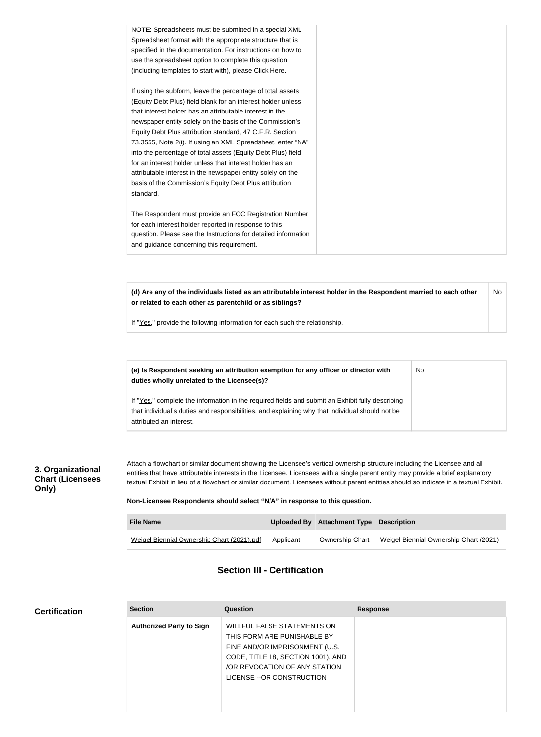| NOTE: Spreadsheets must be submitted in a special XML<br>Spreadsheet format with the appropriate structure that is<br>specified in the documentation. For instructions on how to<br>use the spreadsheet option to complete this question<br>(including templates to start with), please Click Here.                                                                                                                                                                                                                                                                                                                                              |
|--------------------------------------------------------------------------------------------------------------------------------------------------------------------------------------------------------------------------------------------------------------------------------------------------------------------------------------------------------------------------------------------------------------------------------------------------------------------------------------------------------------------------------------------------------------------------------------------------------------------------------------------------|
| If using the subform, leave the percentage of total assets<br>(Equity Debt Plus) field blank for an interest holder unless<br>that interest holder has an attributable interest in the<br>newspaper entity solely on the basis of the Commission's<br>Equity Debt Plus attribution standard, 47 C.F.R. Section<br>73.3555, Note 2(i). If using an XML Spreadsheet, enter "NA"<br>into the percentage of total assets (Equity Debt Plus) field<br>for an interest holder unless that interest holder has an<br>attributable interest in the newspaper entity solely on the<br>basis of the Commission's Equity Debt Plus attribution<br>standard. |
| The Respondent must provide an FCC Registration Number<br>for each interest holder reported in response to this<br>question. Please see the Instructions for detailed information<br>and guidance concerning this requirement.                                                                                                                                                                                                                                                                                                                                                                                                                   |

**(d) Are any of the individuals listed as an attributable interest holder in the Respondent married to each other or related to each other as parentchild or as siblings?** No

No

If "Yes," provide the following information for each such the relationship.

**(e) Is Respondent seeking an attribution exemption for any officer or director with duties wholly unrelated to the Licensee(s)?**

If "Yes," complete the information in the required fields and submit an Exhibit fully describing that individual's duties and responsibilities, and explaining why that individual should not be attributed an interest.

## **3. Organizational Chart (Licensees Only)**

Attach a flowchart or similar document showing the Licensee's vertical ownership structure including the Licensee and all entities that have attributable interests in the Licensee. Licensees with a single parent entity may provide a brief explanatory textual Exhibit in lieu of a flowchart or similar document. Licensees without parent entities should so indicate in a textual Exhibit.

**Non-Licensee Respondents should select "N/A" in response to this question.**

| <b>File Name</b>                           |           | Uploaded By Attachment Type Description |                                        |
|--------------------------------------------|-----------|-----------------------------------------|----------------------------------------|
| Weigel Biennial Ownership Chart (2021).pdf | Applicant | Ownership Chart                         | Weigel Biennial Ownership Chart (2021) |

# **Section III - Certification**

## **Certification**

| <b>Section</b>                  | <b>Question</b>                                                                                                                                                                                  | <b>Response</b> |
|---------------------------------|--------------------------------------------------------------------------------------------------------------------------------------------------------------------------------------------------|-----------------|
| <b>Authorized Party to Sign</b> | WILLFUL FALSE STATEMENTS ON<br>THIS FORM ARE PUNISHABLE BY<br>FINE AND/OR IMPRISONMENT (U.S.<br>CODE, TITLE 18, SECTION 1001), AND<br>OR REVOCATION OF ANY STATION<br>LICENSE -- OR CONSTRUCTION |                 |